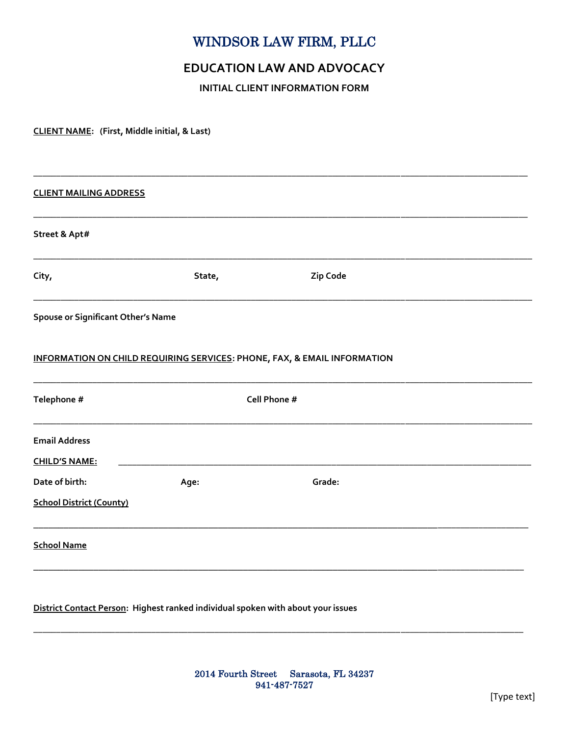# WINDSOR LAW FIRM, PLLC

### **EDUCATION LAW AND ADVOCACY**

#### **INITIAL CLIENT INFORMATION FORM**

**CLIENT NAME:** (First, Middle initial, & Last)

| <b>CLIENT MAILING ADDRESS</b><br>Street & Apt# |              |                                                                                     |  |  |  |
|------------------------------------------------|--------------|-------------------------------------------------------------------------------------|--|--|--|
|                                                |              |                                                                                     |  |  |  |
| Spouse or Significant Other's Name             |              |                                                                                     |  |  |  |
|                                                |              | <b>INFORMATION ON CHILD REQUIRING SERVICES: PHONE, FAX, &amp; EMAIL INFORMATION</b> |  |  |  |
| Telephone #                                    | Cell Phone # |                                                                                     |  |  |  |
| <b>Email Address</b>                           |              |                                                                                     |  |  |  |
| <b>CHILD'S NAME:</b>                           |              |                                                                                     |  |  |  |
| Date of birth:                                 | Age:         | Grade:                                                                              |  |  |  |
| <b>School District (County)</b>                |              |                                                                                     |  |  |  |
| <b>School Name</b>                             |              |                                                                                     |  |  |  |
|                                                |              |                                                                                     |  |  |  |

District Contact Person: Highest ranked individual spoken with about your issues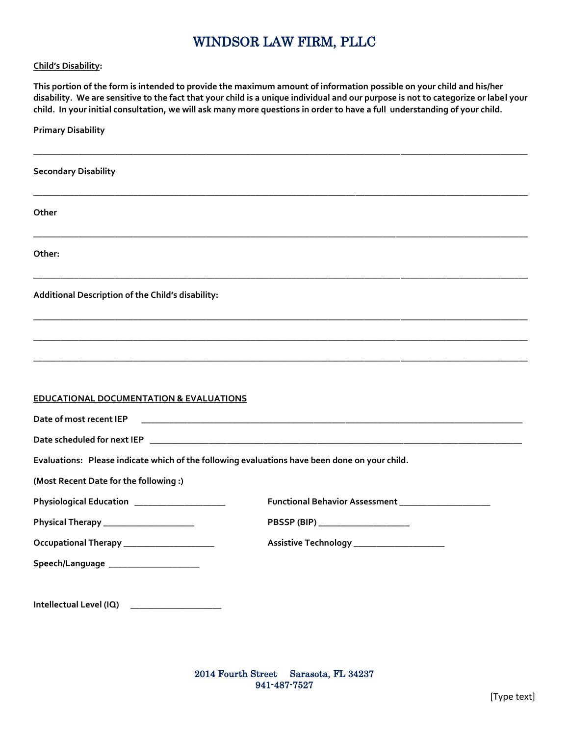## WINDSOR LAW FIRM, PLLC

#### **Child's Disability:**

**This portion of the form is intended to provide the maximum amount of information possible on your child and his/her disability. We are sensitive to the fact that your child is a unique individual and our purpose is not to categorize or label your child. In your initial consultation, we will ask many more questions in order to have a full understanding of your child.**

| <b>Primary Disability</b>                                                                     |                                                        |
|-----------------------------------------------------------------------------------------------|--------------------------------------------------------|
| <b>Secondary Disability</b>                                                                   |                                                        |
| Other                                                                                         |                                                        |
| Other:                                                                                        |                                                        |
| Additional Description of the Child's disability:                                             |                                                        |
|                                                                                               |                                                        |
| <b>EDUCATIONAL DOCUMENTATION &amp; EVALUATIONS</b><br>Date of most recent IEP                 |                                                        |
|                                                                                               |                                                        |
| Evaluations: Please indicate which of the following evaluations have been done on your child. |                                                        |
| (Most Recent Date for the following :)                                                        |                                                        |
| Physiological Education _____________________                                                 | Functional Behavior Assessment _______________________ |
|                                                                                               | PBSSP (BIP) _____________________                      |
| Occupational Therapy ______________________                                                   | Assistive Technology _______________________           |
| Speech/Language _____________________                                                         |                                                        |
| Intellectual Level (IQ) _______________________                                               |                                                        |